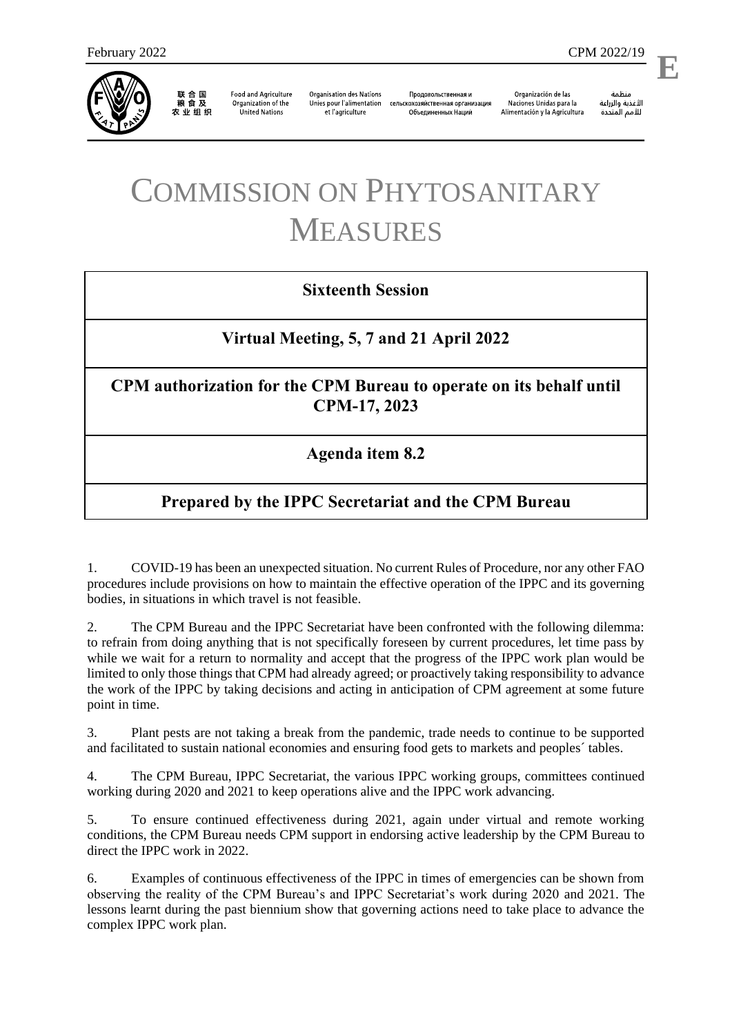

联合国<br>粮食及 农业组织

**Food and Agriculture** Organization of the **United Nations** 

**Organisation des Nations** Unies pour l'alimentation et l'agriculture

Продовольственная и сельскохозяйственная организация Объелиненных Наций

Organización de las Naciones Unidas para la Alimentación y la Agricultura

منظمة الأغذية والزراعة للأمم المتحدة

l,

# COMMISSION ON PHYTOSANITARY MEASURES

## **Sixteenth Session**

## **Virtual Meeting, 5, 7 and 21 April 2022**

#### **CPM authorization for the CPM Bureau to operate on its behalf until CPM-17, 2023**

#### **Agenda item 8.2**

# **Prepared by the IPPC Secretariat and the CPM Bureau**

1. COVID-19 has been an unexpected situation. No current Rules of Procedure, nor any other FAO procedures include provisions on how to maintain the effective operation of the IPPC and its governing bodies, in situations in which travel is not feasible.

2. The CPM Bureau and the IPPC Secretariat have been confronted with the following dilemma: to refrain from doing anything that is not specifically foreseen by current procedures, let time pass by while we wait for a return to normality and accept that the progress of the IPPC work plan would be limited to only those things that CPM had already agreed; or proactively taking responsibility to advance the work of the IPPC by taking decisions and acting in anticipation of CPM agreement at some future point in time.

3. Plant pests are not taking a break from the pandemic, trade needs to continue to be supported and facilitated to sustain national economies and ensuring food gets to markets and peoples´ tables.

4. The CPM Bureau, IPPC Secretariat, the various IPPC working groups, committees continued working during 2020 and 2021 to keep operations alive and the IPPC work advancing.

5. To ensure continued effectiveness during 2021, again under virtual and remote working conditions, the CPM Bureau needs CPM support in endorsing active leadership by the CPM Bureau to direct the IPPC work in 2022.

6. Examples of continuous effectiveness of the IPPC in times of emergencies can be shown from observing the reality of the CPM Bureau's and IPPC Secretariat's work during 2020 and 2021. The lessons learnt during the past biennium show that governing actions need to take place to advance the complex IPPC work plan.